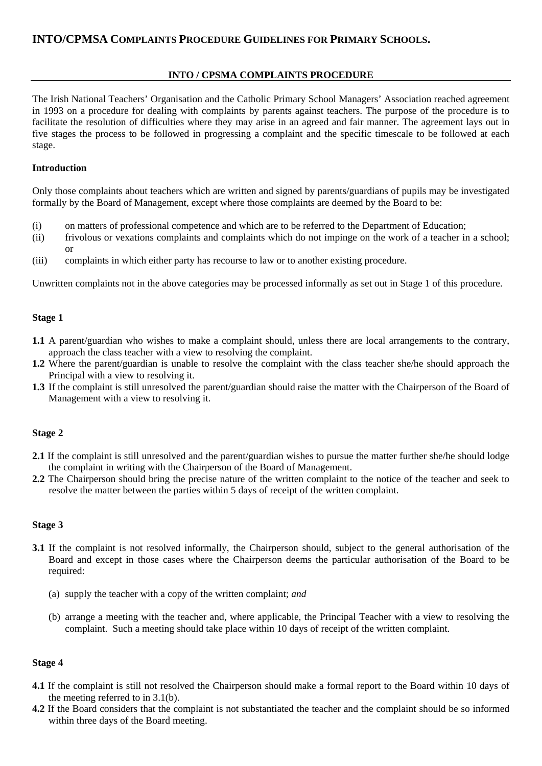# **INTO / CPSMA COMPLAINTS PROCEDURE**

The Irish National Teachers' Organisation and the Catholic Primary School Managers' Association reached agreement in 1993 on a procedure for dealing with complaints by parents against teachers. The purpose of the procedure is to facilitate the resolution of difficulties where they may arise in an agreed and fair manner. The agreement lays out in five stages the process to be followed in progressing a complaint and the specific timescale to be followed at each stage.

# **Introduction**

Only those complaints about teachers which are written and signed by parents/guardians of pupils may be investigated formally by the Board of Management, except where those complaints are deemed by the Board to be:

- (i) on matters of professional competence and which are to be referred to the Department of Education;
- (ii) frivolous or vexations complaints and complaints which do not impinge on the work of a teacher in a school; or
- (iii) complaints in which either party has recourse to law or to another existing procedure.

Unwritten complaints not in the above categories may be processed informally as set out in Stage 1 of this procedure.

# **Stage 1**

- **1.1** A parent/guardian who wishes to make a complaint should, unless there are local arrangements to the contrary, approach the class teacher with a view to resolving the complaint.
- **1.2** Where the parent/guardian is unable to resolve the complaint with the class teacher she/he should approach the Principal with a view to resolving it.
- **1.3** If the complaint is still unresolved the parent/guardian should raise the matter with the Chairperson of the Board of Management with a view to resolving it.

### **Stage 2**

- **2.1** If the complaint is still unresolved and the parent/guardian wishes to pursue the matter further she/he should lodge the complaint in writing with the Chairperson of the Board of Management.
- **2.2** The Chairperson should bring the precise nature of the written complaint to the notice of the teacher and seek to resolve the matter between the parties within 5 days of receipt of the written complaint.

### **Stage 3**

- **3.1** If the complaint is not resolved informally, the Chairperson should, subject to the general authorisation of the Board and except in those cases where the Chairperson deems the particular authorisation of the Board to be required:
	- (a) supply the teacher with a copy of the written complaint; *and*
	- (b) arrange a meeting with the teacher and, where applicable, the Principal Teacher with a view to resolving the complaint. Such a meeting should take place within 10 days of receipt of the written complaint.

# **Stage 4**

- **4.1** If the complaint is still not resolved the Chairperson should make a formal report to the Board within 10 days of the meeting referred to in 3.1(b).
- **4.2** If the Board considers that the complaint is not substantiated the teacher and the complaint should be so informed within three days of the Board meeting.